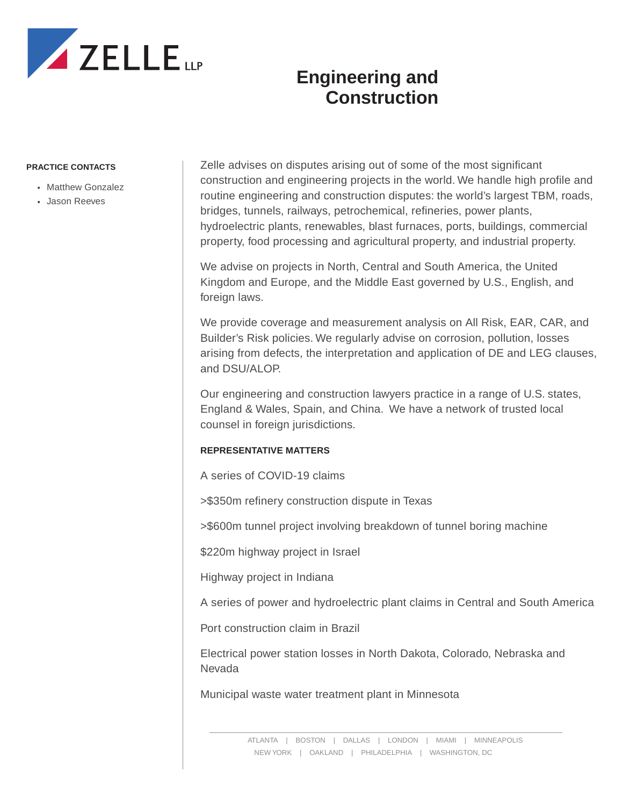

## **Engineering and Construction**

## **PRACTICE CONTACTS**

- Matthew Gonzalez
- Jason Reeves

Zelle advises on disputes arising out of some of the most significant construction and engineering projects in the world. We handle high profile and routine engineering and construction disputes: the world's largest TBM, roads, bridges, tunnels, railways, petrochemical, refineries, power plants, hydroelectric plants, renewables, blast furnaces, ports, buildings, commercial property, food processing and agricultural property, and industrial property.

We advise on projects in North, Central and South America, the United Kingdom and Europe, and the Middle East governed by U.S., English, and foreign laws.

We provide coverage and measurement analysis on All Risk, EAR, CAR, and Builder's Risk policies. We regularly advise on corrosion, pollution, losses arising from defects, the interpretation and application of DE and LEG clauses, and DSU/ALOP.

Our engineering and construction lawyers practice in a range of U.S. states, England & Wales, Spain, and China. We have a network of trusted local counsel in foreign jurisdictions.

## **REPRESENTATIVE MATTERS**

A series of COVID-19 claims

>\$350m refinery construction dispute in Texas

>\$600m tunnel project involving breakdown of tunnel boring machine

\$220m highway project in Israel

Highway project in Indiana

A series of power and hydroelectric plant claims in Central and South America

Port construction claim in Brazil

Electrical power station losses in North Dakota, Colorado, Nebraska and Nevada

Municipal waste water treatment plant in Minnesota